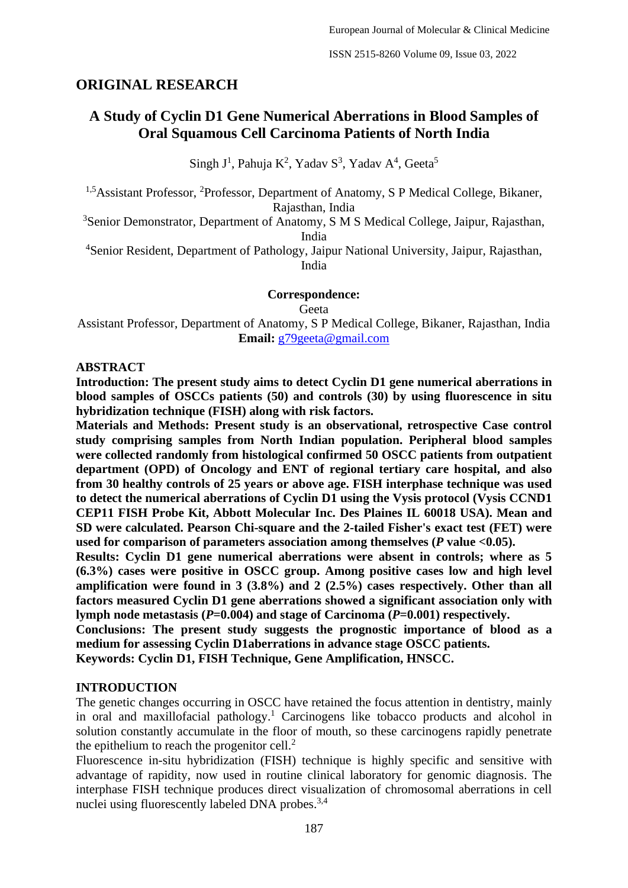## **ORIGINAL RESEARCH**

# **A Study of Cyclin D1 Gene Numerical Aberrations in Blood Samples of Oral Squamous Cell Carcinoma Patients of North India**

Singh J<sup>1</sup>, Pahuja K<sup>2</sup>, Yadav S<sup>3</sup>, Yadav A<sup>4</sup>, Geeta<sup>5</sup>

<sup>1,5</sup>Assistant Professor, <sup>2</sup>Professor, Department of Anatomy, S P Medical College, Bikaner, Rajasthan, India

<sup>3</sup>Senior Demonstrator, Department of Anatomy, S M S Medical College, Jaipur, Rajasthan, India

<sup>4</sup>Senior Resident, Department of Pathology, Jaipur National University, Jaipur, Rajasthan, India

**Correspondence:**

Geeta

Assistant Professor, Department of Anatomy, S P Medical College, Bikaner, Rajasthan, India **Email:** g79geeta@gmail.com

#### **ABSTRACT**

**Introduction: The present study aims to detect Cyclin D1 gene numerical aberrations in blood samples of OSCCs patients (50) and controls (30) by using fluorescence in situ hybridization technique (FISH) along with risk factors.**

**Materials and Methods: Present study is an observational, retrospective Case control study comprising samples from North Indian population. Peripheral blood samples were collected randomly from histological confirmed 50 OSCC patients from outpatient department (OPD) of Oncology and ENT of regional tertiary care hospital, and also from 30 healthy controls of 25 years or above age. FISH interphase technique was used to detect the numerical aberrations of Cyclin D1 using the Vysis protocol (Vysis CCND1 CEP11 FISH Probe Kit, Abbott Molecular Inc. Des Plaines IL 60018 USA). Mean and SD were calculated. Pearson Chi-square and the 2-tailed Fisher's exact test (FET) were used for comparison of parameters association among themselves (***P* **value <0.05).**

**Results: Cyclin D1 gene numerical aberrations were absent in controls; where as 5 (6.3%) cases were positive in OSCC group. Among positive cases low and high level amplification were found in 3 (3.8%) and 2 (2.5%) cases respectively. Other than all factors measured Cyclin D1 gene aberrations showed a significant association only with lymph node metastasis (***P***=0.004) and stage of Carcinoma (***P***=0.001) respectively.**

**Conclusions: The present study suggests the prognostic importance of blood as a medium for assessing Cyclin D1aberrations in advance stage OSCC patients. Keywords: Cyclin D1, FISH Technique, Gene Amplification, HNSCC.**

#### **INTRODUCTION**

The genetic changes occurring in OSCC have retained the focus attention in dentistry, mainly in oral and maxillofacial pathology. <sup>1</sup> Carcinogens like tobacco products and alcohol in solution constantly accumulate in the floor of mouth, so these carcinogens rapidly penetrate the epithelium to reach the progenitor cell.<sup>2</sup>

Fluorescence in-situ hybridization (FISH) technique is highly specific and sensitive with advantage of rapidity, now used in routine clinical laboratory for genomic diagnosis. The interphase FISH technique produces direct visualization of chromosomal aberrations in cell nuclei using fluorescently labeled DNA probes.<sup>3,4</sup>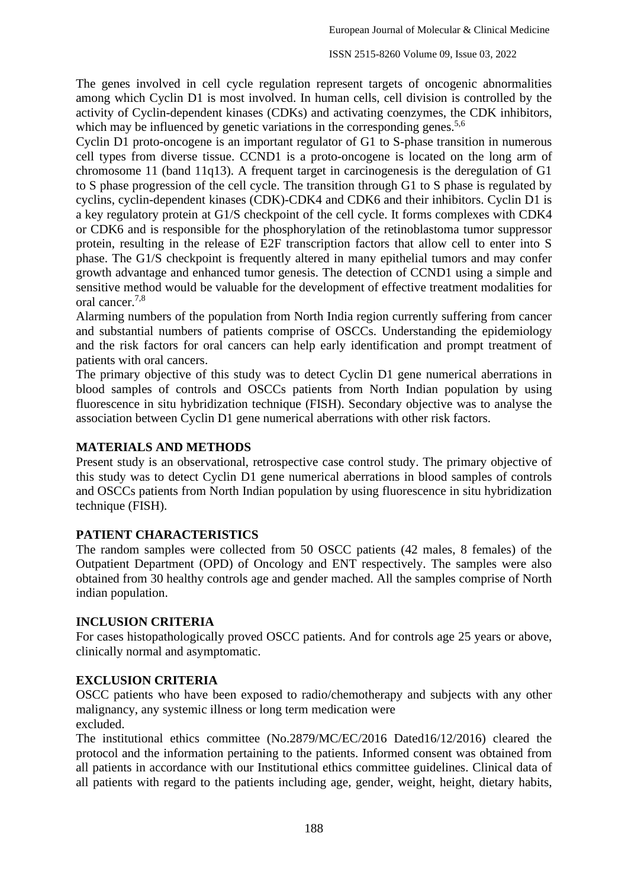The genes involved in cell cycle regulation represent targets of oncogenic abnormalities among which Cyclin D1 is most involved. In human cells, cell division is controlled by the activity of Cyclin-dependent kinases (CDKs) and activating coenzymes, the CDK inhibitors, which may be influenced by genetic variations in the corresponding genes.<sup>5,6</sup>

Cyclin D1 proto-oncogene is an important regulator of G1 to S-phase transition in numerous cell types from diverse tissue. CCND1 is a proto-oncogene is located on the long arm of chromosome 11 (band 11q13). A frequent target in carcinogenesis is the deregulation of G1 to S phase progression of the cell cycle. The transition through G1 to S phase is regulated by cyclins, cyclin-dependent kinases (CDK)-CDK4 and CDK6 and their inhibitors. Cyclin D1 is a key regulatory protein at G1/S checkpoint of the cell cycle. It forms complexes with CDK4 or CDK6 and is responsible for the phosphorylation of the retinoblastoma tumor suppressor protein, resulting in the release of E2F transcription factors that allow cell to enter into S phase. The G1/S checkpoint is frequently altered in many epithelial tumors and may confer growth advantage and enhanced tumor genesis. The detection of CCND1 using a simple and sensitive method would be valuable for the development of effective treatment modalities for oral cancer. 7,8

Alarming numbers of the population from North India region currently suffering from cancer and substantial numbers of patients comprise of OSCCs. Understanding the epidemiology and the risk factors for oral cancers can help early identification and prompt treatment of patients with oral cancers.

The primary objective of this study was to detect Cyclin D1 gene numerical aberrations in blood samples of controls and OSCCs patients from North Indian population by using fluorescence in situ hybridization technique (FISH). Secondary objective was to analyse the association between Cyclin D1 gene numerical aberrations with other risk factors.

### **MATERIALS AND METHODS**

Present study is an observational, retrospective case control study. The primary objective of this study was to detect Cyclin D1 gene numerical aberrations in blood samples of controls and OSCCs patients from North Indian population by using fluorescence in situ hybridization technique (FISH).

## **PATIENT CHARACTERISTICS**

The random samples were collected from 50 OSCC patients (42 males, 8 females) of the Outpatient Department (OPD) of Oncology and ENT respectively. The samples were also obtained from 30 healthy controls age and gender mached. All the samples comprise of North indian population.

### **INCLUSION CRITERIA**

For cases histopathologically proved OSCC patients. And for controls age 25 years or above, clinically normal and asymptomatic.

### **EXCLUSION CRITERIA**

OSCC patients who have been exposed to radio/chemotherapy and subjects with any other malignancy, any systemic illness or long term medication were excluded.

The institutional ethics committee (No.2879/MC/EC/2016 Dated16/12/2016) cleared the protocol and the information pertaining to the patients. Informed consent was obtained from all patients in accordance with our Institutional ethics committee guidelines. Clinical data of all patients with regard to the patients including age, gender, weight, height, dietary habits,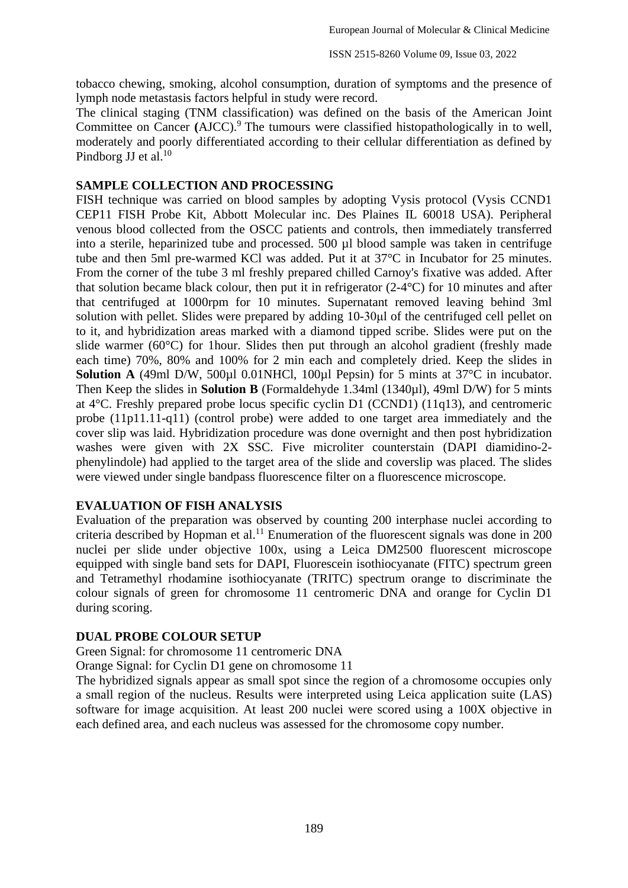tobacco chewing, smoking, alcohol consumption, duration of symptoms and the presence of lymph node metastasis factors helpful in study were record.

The clinical staging (TNM classification) was defined on the basis of the American Joint Committee on Cancer (AJCC).<sup>9</sup> The tumours were classified histopathologically in to well, moderately and poorly differentiated according to their cellular differentiation as defined by Pindborg JJ et al.<sup>10</sup>

#### **SAMPLE COLLECTION AND PROCESSING**

FISH technique was carried on blood samples by adopting Vysis protocol (Vysis CCND1 CEP11 FISH Probe Kit, Abbott Molecular inc. Des Plaines IL 60018 USA). Peripheral venous blood collected from the OSCC patients and controls, then immediately transferred into a sterile, heparinized tube and processed. 500 µl blood sample was taken in centrifuge tube and then 5ml pre-warmed KCl was added. Put it at 37°C in Incubator for 25 minutes. From the corner of the tube 3 ml freshly prepared chilled Carnoy's fixative was added. After that solution became black colour, then put it in refrigerator (2-4°C) for 10 minutes and after that centrifuged at 1000rpm for 10 minutes. Supernatant removed leaving behind 3ml solution with pellet. Slides were prepared by adding 10-30μl of the centrifuged cell pellet on to it, and hybridization areas marked with a diamond tipped scribe. Slides were put on the slide warmer (60°C) for 1hour. Slides then put through an alcohol gradient (freshly made each time) 70%, 80% and 100% for 2 min each and completely dried. Keep the slides in **Solution A** (49ml D/W, 500 $\mu$ l 0.01NHCl, 100 $\mu$ l Pepsin) for 5 mints at 37°C in incubator. Then Keep the slides in **Solution B** (Formaldehyde 1.34ml (1340µl), 49ml D/W) for 5 mints at 4°C. Freshly prepared probe locus specific cyclin D1 (CCND1) (11q13), and centromeric probe (11p11.11-q11) (control probe) were added to one target area immediately and the cover slip was laid. Hybridization procedure was done overnight and then post hybridization washes were given with 2X SSC. Five microliter counterstain (DAPI diamidino-2 phenylindole) had applied to the target area of the slide and coverslip was placed. The slides were viewed under single bandpass fluorescence filter on a fluorescence microscope.

#### **EVALUATION OF FISH ANALYSIS**

Evaluation of the preparation was observed by counting 200 interphase nuclei according to criteria described by Hopman et al.<sup>11</sup> Enumeration of the fluorescent signals was done in 200 nuclei per slide under objective 100x, using a Leica DM2500 fluorescent microscope equipped with single band sets for DAPI, Fluorescein isothiocyanate (FITC) spectrum green and Tetramethyl rhodamine isothiocyanate (TRITC) spectrum orange to discriminate the colour signals of green for chromosome 11 centromeric DNA and orange for Cyclin D1 during scoring.

#### **DUAL PROBE COLOUR SETUP**

Green Signal: for chromosome 11 centromeric DNA

Orange Signal: for Cyclin D1 gene on chromosome 11

The hybridized signals appear as small spot since the region of a chromosome occupies only a small region of the nucleus. Results were interpreted using Leica application suite (LAS) software for image acquisition. At least 200 nuclei were scored using a 100X objective in each defined area, and each nucleus was assessed for the chromosome copy number.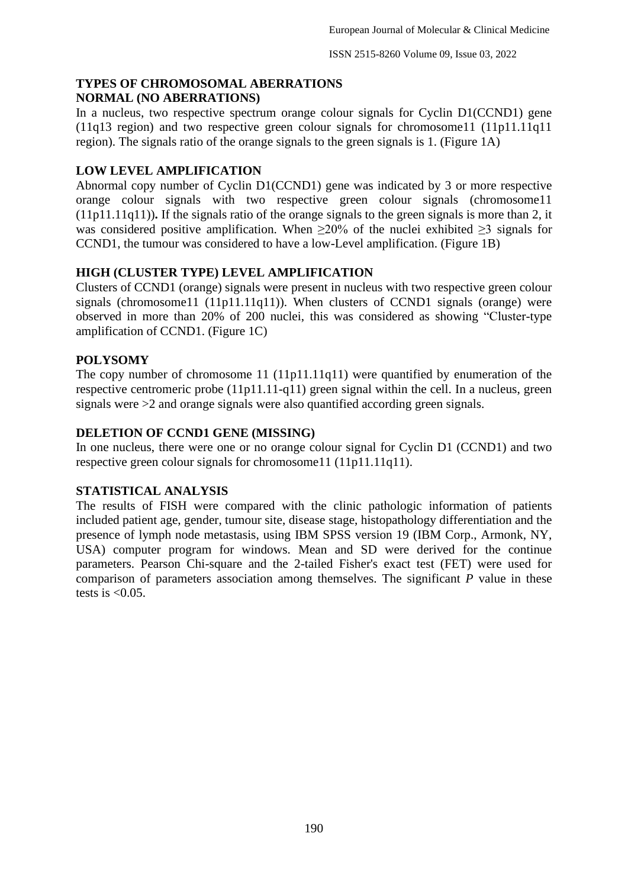### **TYPES OF CHROMOSOMAL ABERRATIONS NORMAL (NO ABERRATIONS)**

In a nucleus, two respective spectrum orange colour signals for Cyclin D1(CCND1) gene (11q13 region) and two respective green colour signals for chromosome11 (11p11.11q11 region). The signals ratio of the orange signals to the green signals is 1. (Figure 1A)

## **LOW LEVEL AMPLIFICATION**

Abnormal copy number of Cyclin D1(CCND1) gene was indicated by 3 or more respective orange colour signals with two respective green colour signals (chromosome11 (11p11.11q11))**.** If the signals ratio of the orange signals to the green signals is more than 2, it was considered positive amplification. When  $\geq 20\%$  of the nuclei exhibited  $\geq 3$  signals for CCND1, the tumour was considered to have a low-Level amplification. (Figure 1B)

## **HIGH (CLUSTER TYPE) LEVEL AMPLIFICATION**

Clusters of CCND1 (orange) signals were present in nucleus with two respective green colour signals (chromosome11 (11p11.11q11)). When clusters of CCND1 signals (orange) were observed in more than 20% of 200 nuclei, this was considered as showing "Cluster-type amplification of CCND1. (Figure 1C)

## **POLYSOMY**

The copy number of chromosome 11 (11p11.11q11) were quantified by enumeration of the respective centromeric probe (11p11.11-q11) green signal within the cell. In a nucleus, green signals were >2 and orange signals were also quantified according green signals.

## **DELETION OF CCND1 GENE (MISSING)**

In one nucleus, there were one or no orange colour signal for Cyclin D1 (CCND1) and two respective green colour signals for chromosome11 (11p11.11q11).

## **STATISTICAL ANALYSIS**

The results of FISH were compared with the clinic pathologic information of patients included patient age, gender, tumour site, disease stage, histopathology differentiation and the presence of lymph node metastasis, using IBM SPSS version 19 (IBM Corp., Armonk, NY, USA) computer program for windows. Mean and SD were derived for the continue parameters. Pearson Chi-square and the 2-tailed Fisher's exact test (FET) were used for comparison of parameters association among themselves. The significant *P* value in these tests is  $<0.05$ .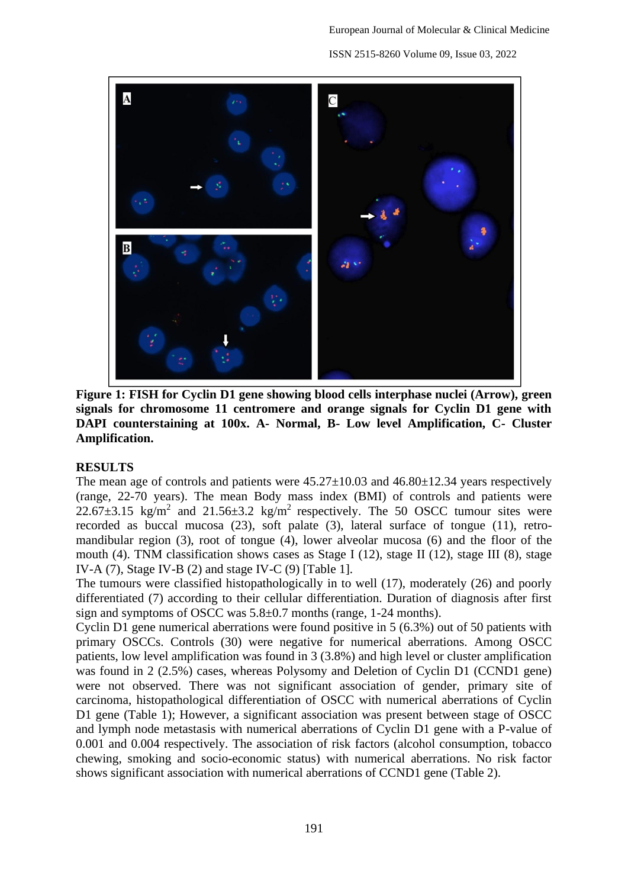

**Figure 1: FISH for Cyclin D1 gene showing blood cells interphase nuclei (Arrow), green signals for chromosome 11 centromere and orange signals for Cyclin D1 gene with DAPI counterstaining at 100x. A- Normal, B- Low level Amplification, C- Cluster Amplification.**

## **RESULTS**

The mean age of controls and patients were  $45.27 \pm 10.03$  and  $46.80 \pm 12.34$  years respectively (range, 22-70 years). The mean Body mass index (BMI) of controls and patients were  $22.67\pm3.15$  kg/m<sup>2</sup> and  $21.56\pm3.2$  kg/m<sup>2</sup> respectively. The 50 OSCC tumour sites were recorded as buccal mucosa (23), soft palate (3), lateral surface of tongue (11), retromandibular region (3), root of tongue (4), lower alveolar mucosa (6) and the floor of the mouth (4). TNM classification shows cases as Stage I (12), stage II (12), stage III (8), stage IV-A  $(7)$ , Stage IV-B  $(2)$  and stage IV-C  $(9)$  [Table 1].

The tumours were classified histopathologically in to well (17), moderately (26) and poorly differentiated (7) according to their cellular differentiation. Duration of diagnosis after first sign and symptoms of OSCC was 5.8±0.7 months (range, 1-24 months).

Cyclin D1 gene numerical aberrations were found positive in 5 (6.3%) out of 50 patients with primary OSCCs. Controls (30) were negative for numerical aberrations. Among OSCC patients, low level amplification was found in 3 (3.8%) and high level or cluster amplification was found in 2 (2.5%) cases, whereas Polysomy and Deletion of Cyclin D1 (CCND1 gene) were not observed. There was not significant association of gender, primary site of carcinoma, histopathological differentiation of OSCC with numerical aberrations of Cyclin D1 gene (Table 1); However, a significant association was present between stage of OSCC and lymph node metastasis with numerical aberrations of Cyclin D1 gene with a P-value of 0.001 and 0.004 respectively. The association of risk factors (alcohol consumption, tobacco chewing, smoking and socio-economic status) with numerical aberrations. No risk factor shows significant association with numerical aberrations of CCND1 gene (Table 2).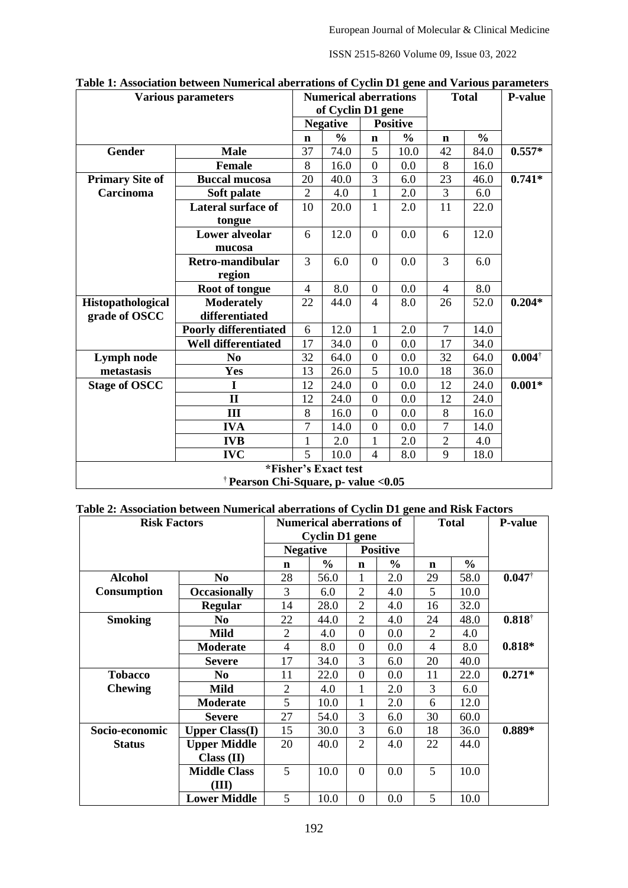ISSN 2515-8260 Volume 09, Issue 03, 2022

| <b>Various parameters</b>                        |                              |                | <b>Numerical aberrations</b> |                                                         |               | <b>Total</b>   |               | <b>P-value</b>    |  |
|--------------------------------------------------|------------------------------|----------------|------------------------------|---------------------------------------------------------|---------------|----------------|---------------|-------------------|--|
|                                                  |                              |                |                              | of Cyclin D1 gene<br><b>Positive</b><br><b>Negative</b> |               |                |               |                   |  |
|                                                  |                              | $\mathbf n$    | $\frac{0}{0}$                | $\mathbf n$                                             | $\frac{0}{0}$ | $\mathbf n$    | $\frac{0}{0}$ |                   |  |
| Gender                                           | <b>Male</b>                  | 37             | 74.0                         | 5                                                       | 10.0          | 42             | 84.0          | $0.557*$          |  |
|                                                  | <b>Female</b>                | 8              | 16.0                         | $\overline{0}$                                          | 0.0           | 8              | 16.0          |                   |  |
| <b>Primary Site of</b>                           | <b>Buccal mucosa</b>         | 20             | 40.0                         | 3                                                       | 6.0           | 23             | 46.0          | $0.741*$          |  |
| Carcinoma                                        | Soft palate                  | $\overline{2}$ | 4.0                          | $\mathbf{1}$                                            | 2.0           | 3              | 6.0           |                   |  |
|                                                  | <b>Lateral surface of</b>    | 10             | 20.0                         | 1                                                       | 2.0           | 11             | 22.0          |                   |  |
|                                                  | tongue                       |                |                              |                                                         |               |                |               |                   |  |
|                                                  | <b>Lower alveolar</b>        | 6              | 12.0                         | $\overline{0}$                                          | 0.0           | 6              | 12.0          |                   |  |
|                                                  | mucosa                       |                |                              |                                                         |               |                |               |                   |  |
|                                                  | Retro-mandibular             | 3              | 6.0                          | $\overline{0}$                                          | 0.0           | 3              | 6.0           |                   |  |
|                                                  | region                       |                |                              |                                                         |               |                |               |                   |  |
|                                                  | Root of tongue               | $\overline{4}$ | 8.0                          | $\overline{0}$                                          | 0.0           | 4              | 8.0           |                   |  |
| Histopathological                                | <b>Moderately</b>            | 22             | 44.0                         | $\overline{4}$                                          | 8.0           | 26             | 52.0          | $0.204*$          |  |
| grade of OSCC                                    | differentiated               |                |                              |                                                         |               |                |               |                   |  |
|                                                  | <b>Poorly differentiated</b> | 6              | 12.0                         | 1                                                       | 2.0           | $\overline{7}$ | 14.0          |                   |  |
|                                                  | <b>Well differentiated</b>   | 17             | 34.0                         | $\theta$                                                | 0.0           | 17             | 34.0          |                   |  |
| Lymph node                                       | N <sub>0</sub>               | 32             | 64.0                         | $\overline{0}$                                          | 0.0           | 32             | 64.0          | $0.004^{\dagger}$ |  |
| metastasis                                       | Yes                          | 13             | 26.0                         | 5                                                       | 10.0          | 18             | 36.0          |                   |  |
| <b>Stage of OSCC</b>                             | I                            | 12             | 24.0                         | $\overline{0}$                                          | 0.0           | 12             | 24.0          | $0.001*$          |  |
|                                                  | $\mathbf{I}$                 | 12             | 24.0                         | $\overline{0}$                                          | 0.0           | 12             | 24.0          |                   |  |
|                                                  | III                          | 8              | 16.0                         | $\overline{0}$                                          | 0.0           | 8              | 16.0          |                   |  |
|                                                  | <b>IVA</b>                   | $\overline{7}$ | 14.0                         | $\overline{0}$                                          | 0.0           | $\overline{7}$ | 14.0          |                   |  |
|                                                  | <b>IVB</b>                   | $\mathbf 1$    | 2.0                          | $\mathbf{1}$                                            | 2.0           | $\overline{2}$ | 4.0           |                   |  |
|                                                  | <b>IVC</b>                   | 5              | 10.0                         | $\overline{4}$                                          | 8.0           | 9              | 18.0          |                   |  |
| *Fisher's Exact test                             |                              |                |                              |                                                         |               |                |               |                   |  |
| <sup>†</sup> Pearson Chi-Square, p- value < 0.05 |                              |                |                              |                                                         |               |                |               |                   |  |

| Table 1: Association between Numerical aberrations of Cyclin D1 gene and Various parameters |  |  |  |
|---------------------------------------------------------------------------------------------|--|--|--|
|---------------------------------------------------------------------------------------------|--|--|--|

|  |  |  |  | Table 2: Association between Numerical aberrations of Cyclin D1 gene and Risk Factors |
|--|--|--|--|---------------------------------------------------------------------------------------|
|  |  |  |  |                                                                                       |

| <b>Risk Factors</b> |                       |                 | <b>Numerical aberrations of</b><br><b>Cyclin D1</b> gene |                 | <b>Total</b>  |                | <b>P-value</b> |                   |
|---------------------|-----------------------|-----------------|----------------------------------------------------------|-----------------|---------------|----------------|----------------|-------------------|
|                     |                       | <b>Negative</b> |                                                          | <b>Positive</b> |               |                |                |                   |
|                     |                       | n               | $\frac{0}{0}$                                            | n               | $\frac{0}{0}$ | n              | $\frac{0}{0}$  |                   |
| <b>Alcohol</b>      | N <sub>0</sub>        | 28              | 56.0                                                     | 1               | 2.0           | 29             | 58.0           | $0.047^{\dagger}$ |
| Consumption         | <b>Occasionally</b>   | 3               | 6.0                                                      | $\overline{2}$  | 4.0           | 5              | 10.0           |                   |
|                     | <b>Regular</b>        | 14              | 28.0                                                     | $\overline{c}$  | 4.0           | 16             | 32.0           |                   |
| <b>Smoking</b>      | N <sub>0</sub>        | 22              | 44.0                                                     | $\overline{2}$  | 4.0           | 24             | 48.0           | $0.818^{\dagger}$ |
|                     | <b>Mild</b>           | $\overline{2}$  | 4.0                                                      | $\Omega$        | 0.0           | $\overline{2}$ | 4.0            |                   |
|                     | <b>Moderate</b>       | 4               | 8.0                                                      | $\theta$        | 0.0           | 4              | 8.0            | $0.818*$          |
|                     | <b>Severe</b>         | 17              | 34.0                                                     | 3               | 6.0           | 20             | 40.0           |                   |
| <b>Tobacco</b>      | N <sub>0</sub>        | 11              | 22.0                                                     | $\Omega$        | 0.0           | 11             | 22.0           | $0.271*$          |
| <b>Chewing</b>      | Mild                  | 2               | 4.0                                                      |                 | 2.0           | 3              | 6.0            |                   |
|                     | <b>Moderate</b>       | 5               | 10.0                                                     | 1               | 2.0           | 6              | 12.0           |                   |
|                     | <b>Severe</b>         | 27              | 54.0                                                     | 3               | 6.0           | 30             | 60.0           |                   |
| Socio-economic      | <b>Upper Class(I)</b> | 15              | 30.0                                                     | 3               | 6.0           | 18             | 36.0           | $0.889*$          |
| <b>Status</b>       | <b>Upper Middle</b>   | 20              | 40.0                                                     | $\overline{2}$  | 4.0           | 22             | 44.0           |                   |
|                     | Class (II)            |                 |                                                          |                 |               |                |                |                   |
|                     | <b>Middle Class</b>   | 5               | 10.0                                                     | $\theta$        | 0.0           | 5              | 10.0           |                   |
|                     | (III)                 |                 |                                                          |                 |               |                |                |                   |
|                     | <b>Lower Middle</b>   | 5               | 10.0                                                     | $\Omega$        | 0.0           | 5              | 10.0           |                   |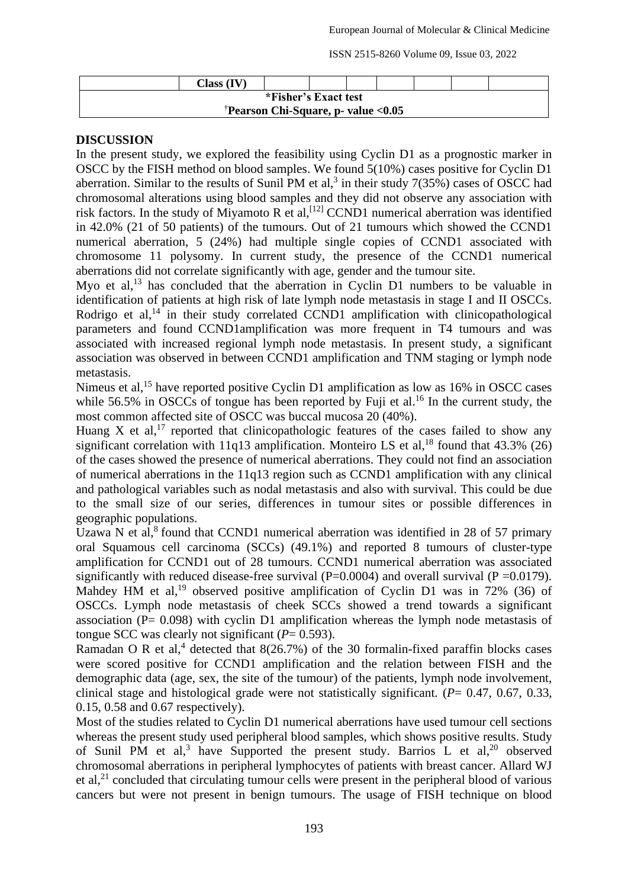ISSN 2515-8260 Volume 09, Issue 03, 2022

|                                                 | Class (IV) |  |  |  |  |  |  |  |  |  |
|-------------------------------------------------|------------|--|--|--|--|--|--|--|--|--|
| *Fisher's Exact test                            |            |  |  |  |  |  |  |  |  |  |
| <sup>†</sup> Pearson Chi-Square, p- value <0.05 |            |  |  |  |  |  |  |  |  |  |

### **DISCUSSION**

In the present study, we explored the feasibility using Cyclin D1 as a prognostic marker in OSCC by the FISH method on blood samples. We found 5(10%) cases positive for Cyclin D1 aberration. Similar to the results of Sunil PM et al,<sup>3</sup> in their study  $7(35%)$  cases of OSCC had chromosomal alterations using blood samples and they did not observe any association with risk factors. In the study of Miyamoto R et al,<sup>[12]</sup> CCND1 numerical aberration was identified in 42.0% (21 of 50 patients) of the tumours. Out of 21 tumours which showed the CCND1 numerical aberration, 5 (24%) had multiple single copies of CCND1 associated with chromosome 11 polysomy. In current study, the presence of the CCND1 numerical aberrations did not correlate significantly with age, gender and the tumour site.

Myo et al,<sup>13</sup> has concluded that the aberration in Cyclin D1 numbers to be valuable in identification of patients at high risk of late lymph node metastasis in stage I and II OSCCs. Rodrigo et al, $^{14}$  in their study correlated CCND1 amplification with clinicopathological parameters and found CCND1amplification was more frequent in T4 tumours and was associated with increased regional lymph node metastasis. In present study, a significant association was observed in between CCND1 amplification and TNM staging or lymph node metastasis.

Nimeus et al.<sup>15</sup> have reported positive Cyclin D1 amplification as low as 16% in OSCC cases while 56.5% in OSCCs of tongue has been reported by Fuji et al.<sup>16</sup> In the current study, the most common affected site of OSCC was buccal mucosa 20 (40%).

Huang X et al,<sup>17</sup> reported that clinicopathologic features of the cases failed to show any significant correlation with 11q13 amplification. Monteiro LS et al.<sup>18</sup> found that  $43.3\%$  (26) of the cases showed the presence of numerical aberrations. They could not find an association of numerical aberrations in the 11q13 region such as CCND1 amplification with any clinical and pathological variables such as nodal metastasis and also with survival. This could be due to the small size of our series, differences in tumour sites or possible differences in geographic populations.

Uzawa N et al, $8$  found that CCND1 numerical aberration was identified in 28 of 57 primary oral Squamous cell carcinoma (SCCs) (49.1%) and reported 8 tumours of cluster-type amplification for CCND1 out of 28 tumours. CCND1 numerical aberration was associated significantly with reduced disease-free survival ( $P=0.0004$ ) and overall survival ( $P=0.0179$ ). Mahdey HM et al,<sup>19</sup> observed positive amplification of Cyclin D1 was in 72% (36) of OSCCs. Lymph node metastasis of cheek SCCs showed a trend towards a significant association (P= 0.098) with cyclin D1 amplification whereas the lymph node metastasis of tongue SCC was clearly not significant  $(P= 0.593)$ .

Ramadan O R et al,<sup>4</sup> detected that  $8(26.7%)$  of the 30 formalin-fixed paraffin blocks cases were scored positive for CCND1 amplification and the relation between FISH and the demographic data (age, sex, the site of the tumour) of the patients, lymph node involvement, clinical stage and histological grade were not statistically significant. (*P*= 0.47, 0.67, 0.33, 0.15, 0.58 and 0.67 respectively).

Most of the studies related to Cyclin D1 numerical aberrations have used tumour cell sections whereas the present study used peripheral blood samples, which shows positive results. Study of Sunil PM et al,<sup>3</sup> have Supported the present study. Barrios L et al,<sup>20</sup> observed chromosomal aberrations in peripheral lymphocytes of patients with breast cancer. Allard WJ et al,<sup>21</sup> concluded that circulating tumour cells were present in the peripheral blood of various cancers but were not present in benign tumours. The usage of FISH technique on blood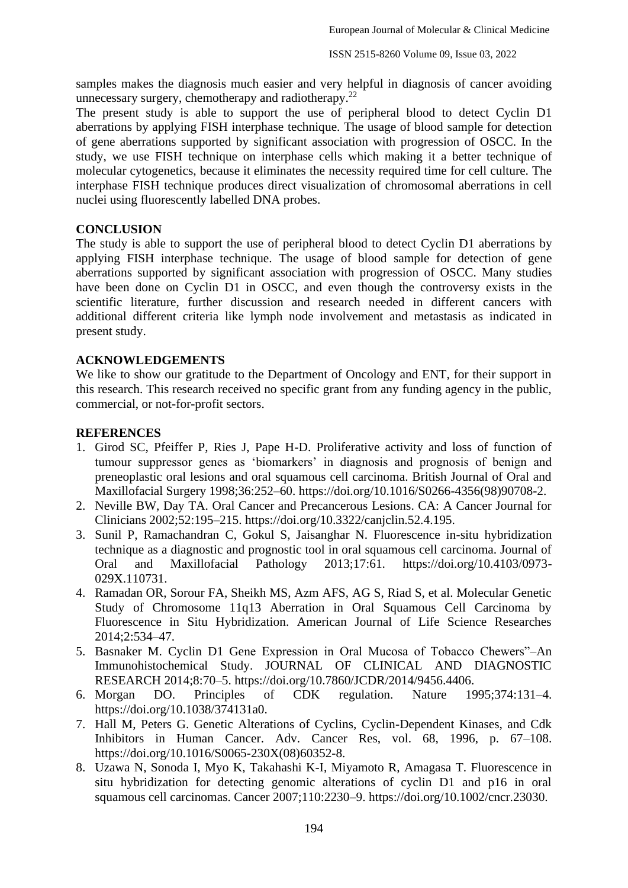samples makes the diagnosis much easier and very helpful in diagnosis of cancer avoiding unnecessary surgery, chemotherapy and radiotherapy.<sup>22</sup>

The present study is able to support the use of peripheral blood to detect Cyclin D1 aberrations by applying FISH interphase technique. The usage of blood sample for detection of gene aberrations supported by significant association with progression of OSCC. In the study, we use FISH technique on interphase cells which making it a better technique of molecular cytogenetics, because it eliminates the necessity required time for cell culture. The interphase FISH technique produces direct visualization of chromosomal aberrations in cell nuclei using fluorescently labelled DNA probes.

#### **CONCLUSION**

The study is able to support the use of peripheral blood to detect Cyclin D1 aberrations by applying FISH interphase technique. The usage of blood sample for detection of gene aberrations supported by significant association with progression of OSCC. Many studies have been done on Cyclin D1 in OSCC, and even though the controversy exists in the scientific literature, further discussion and research needed in different cancers with additional different criteria like lymph node involvement and metastasis as indicated in present study.

#### **ACKNOWLEDGEMENTS**

We like to show our gratitude to the Department of Oncology and ENT, for their support in this research. This research received no specific grant from any funding agency in the public, commercial, or not-for-profit sectors.

#### **REFERENCES**

- 1. Girod SC, Pfeiffer P, Ries J, Pape H-D. Proliferative activity and loss of function of tumour suppressor genes as 'biomarkers' in diagnosis and prognosis of benign and preneoplastic oral lesions and oral squamous cell carcinoma. British Journal of Oral and Maxillofacial Surgery 1998;36:252–60. https://doi.org/10.1016/S0266-4356(98)90708-2.
- 2. Neville BW, Day TA. Oral Cancer and Precancerous Lesions. CA: A Cancer Journal for Clinicians 2002;52:195–215. https://doi.org/10.3322/canjclin.52.4.195.
- 3. Sunil P, Ramachandran C, Gokul S, Jaisanghar N. Fluorescence in-situ hybridization technique as a diagnostic and prognostic tool in oral squamous cell carcinoma. Journal of Oral and Maxillofacial Pathology 2013;17:61. https://doi.org/10.4103/0973- 029X.110731.
- 4. Ramadan OR, Sorour FA, Sheikh MS, Azm AFS, AG S, Riad S, et al. Molecular Genetic Study of Chromosome 11q13 Aberration in Oral Squamous Cell Carcinoma by Fluorescence in Situ Hybridization. American Journal of Life Science Researches 2014;2:534–47.
- 5. Basnaker M. Cyclin D1 Gene Expression in Oral Mucosa of Tobacco Chewers"–An Immunohistochemical Study. JOURNAL OF CLINICAL AND DIAGNOSTIC RESEARCH 2014;8:70–5. https://doi.org/10.7860/JCDR/2014/9456.4406.
- 6. Morgan DO. Principles of CDK regulation. Nature 1995;374:131–4. https://doi.org/10.1038/374131a0.
- 7. Hall M, Peters G. Genetic Alterations of Cyclins, Cyclin-Dependent Kinases, and Cdk Inhibitors in Human Cancer. Adv. Cancer Res, vol. 68, 1996, p. 67–108. https://doi.org/10.1016/S0065-230X(08)60352-8.
- 8. Uzawa N, Sonoda I, Myo K, Takahashi K-I, Miyamoto R, Amagasa T. Fluorescence in situ hybridization for detecting genomic alterations of cyclin D1 and p16 in oral squamous cell carcinomas. Cancer 2007;110:2230–9. https://doi.org/10.1002/cncr.23030.